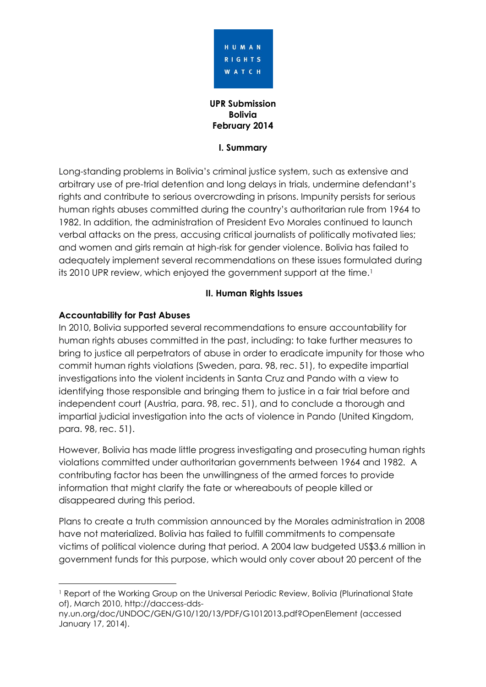

**UPR Submission Bolivia February 2014**

#### **I. Summary**

Long-standing problems in Bolivia's criminal justice system, such as extensive and arbitrary use of pre-trial detention and long delays in trials, undermine defendant's rights and contribute to serious overcrowding in prisons. Impunity persists for serious human rights abuses committed during the country's authoritarian rule from 1964 to 1982. In addition, the administration of President Evo Morales continued to launch verbal attacks on the press, accusing critical journalists of politically motivated lies; and women and girls remain at high-risk for gender violence. Bolivia has failed to adequately implement several recommendations on these issues formulated during its 2010 UPR review, which enjoyed the government support at the time.<sup>1</sup>

## **II. Human Rights Issues**

## **Accountability for Past Abuses**

1

In 2010, Bolivia supported several recommendations to ensure accountability for human rights abuses committed in the past, including: to take further measures to bring to justice all perpetrators of abuse in order to eradicate impunity for those who commit human rights violations (Sweden, para. 98, rec. 51), to expedite impartial investigations into the violent incidents in Santa Cruz and Pando with a view to identifying those responsible and bringing them to justice in a fair trial before and independent court (Austria, para. 98, rec. 51), and to conclude a thorough and impartial judicial investigation into the acts of violence in Pando (United Kingdom, para. 98, rec. 51).

However, Bolivia has made little progress investigating and prosecuting human rights violations committed under authoritarian governments between 1964 and 1982. A contributing factor has been the unwillingness of the armed forces to provide information that might clarify the fate or whereabouts of people killed or disappeared during this period.

Plans to create a truth commission announced by the Morales administration in 2008 have not materialized. Bolivia has failed to fulfill commitments to compensate victims of political violence during that period. A 2004 law budgeted US\$3.6 million in government funds for this purpose, which would only cover about 20 percent of the

<sup>&</sup>lt;sup>1</sup> Report of the Working Group on the Universal Periodic Review, Bolivia (Plurinational State of), March 2010, http://daccess-dds-

ny.un.org/doc/UNDOC/GEN/G10/120/13/PDF/G1012013.pdf?OpenElement (accessed January 17, 2014).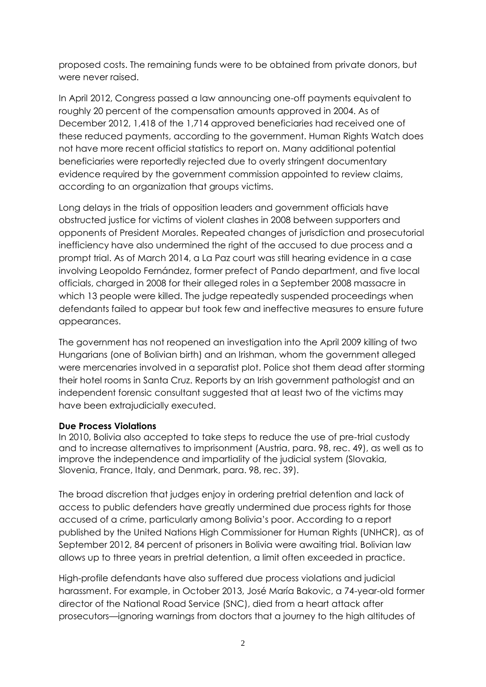proposed costs. The remaining funds were to be obtained from private donors, but were never raised.

In April 2012, Congress passed a law announcing one-off payments equivalent to roughly 20 percent of the compensation amounts approved in 2004. As of December 2012, 1,418 of the 1,714 approved beneficiaries had received one of these reduced payments, according to the government. Human Rights Watch does not have more recent official statistics to report on. Many additional potential beneficiaries were reportedly rejected due to overly stringent documentary evidence required by the government commission appointed to review claims, according to an organization that groups victims.

Long delays in the trials of opposition leaders and government officials have obstructed justice for victims of violent clashes in 2008 between supporters and opponents of President Morales. Repeated changes of jurisdiction and prosecutorial inefficiency have also undermined the right of the accused to due process and a prompt trial. As of March 2014, a La Paz court was still hearing evidence in a case involving Leopoldo Fernández, former prefect of Pando department, and five local officials, charged in 2008 for their alleged roles in a September 2008 massacre in which 13 people were killed. The judge repeatedly suspended proceedings when defendants failed to appear but took few and ineffective measures to ensure future appearances.

The government has not reopened an investigation into the April 2009 killing of two Hungarians (one of Bolivian birth) and an Irishman, whom the government alleged were mercenaries involved in a separatist plot. Police shot them dead after storming their hotel rooms in Santa Cruz. Reports by an Irish government pathologist and an independent forensic consultant suggested that at least two of the victims may have been extrajudicially executed.

## **Due Process Violations**

In 2010, Bolivia also accepted to take steps to reduce the use of pre-trial custody and to increase alternatives to imprisonment (Austria, para. 98, rec. 49), as well as to improve the independence and impartiality of the judicial system (Slovakia, Slovenia, France, Italy, and Denmark, para. 98, rec. 39).

The broad discretion that judges enjoy in ordering pretrial detention and lack of access to public defenders have greatly undermined due process rights for those accused of a crime, particularly among Bolivia's poor. According to a report published by the United Nations High Commissioner for Human Rights (UNHCR), as of September 2012, 84 percent of prisoners in Bolivia were awaiting trial. Bolivian law allows up to three years in pretrial detention, a limit often exceeded in practice.

High-profile defendants have also suffered due process violations and judicial harassment. For example, in October 2013, José María Bakovic, a 74-year-old former director of the National Road Service (SNC), died from a heart attack after prosecutors—ignoring warnings from doctors that a journey to the high altitudes of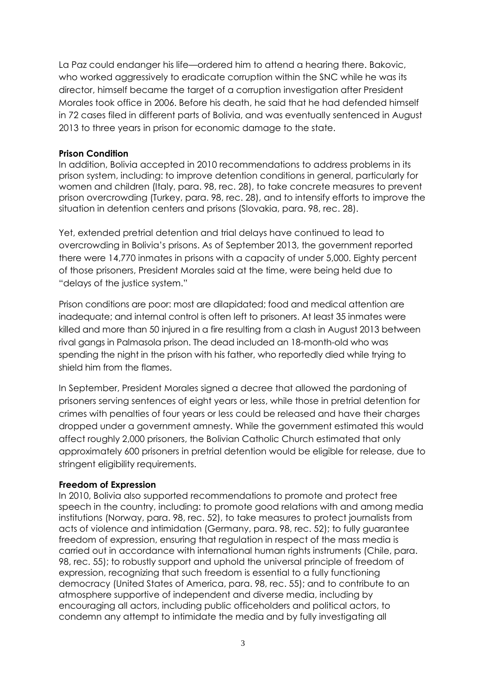La Paz could endanger his life—ordered him to attend a hearing there. Bakovic, who worked aggressively to eradicate corruption within the SNC while he was its director, himself became the target of a corruption investigation after President Morales took office in 2006. Before his death, he said that he had defended himself in 72 cases filed in different parts of Bolivia, and was eventually sentenced in August 2013 to three years in prison for economic damage to the state.

#### **Prison Condition**

In addition, Bolivia accepted in 2010 recommendations to address problems in its prison system, including: to improve detention conditions in general, particularly for women and children (Italy, para. 98, rec. 28), to take concrete measures to prevent prison overcrowding (Turkey, para. 98, rec. 28), and to intensify efforts to improve the situation in detention centers and prisons (Slovakia, para. 98, rec. 28).

Yet, extended pretrial detention and trial delays have continued to lead to overcrowding in Bolivia's prisons. As of September 2013, the government reported there were 14,770 inmates in prisons with a capacity of under 5,000. Eighty percent of those prisoners, President Morales said at the time, were being held due to "delays of the justice system."

Prison conditions are poor: most are dilapidated; food and medical attention are inadequate; and internal control is often left to prisoners. At least 35 inmates were killed and more than 50 injured in a fire resulting from a clash in August 2013 between rival gangs in Palmasola prison. The dead included an 18-month-old who was spending the night in the prison with his father, who reportedly died while trying to shield him from the flames.

In September, President Morales signed a decree that allowed the pardoning of prisoners serving sentences of eight years or less, while those in pretrial detention for crimes with penalties of four years or less could be released and have their charges dropped under a government amnesty. While the government estimated this would affect roughly 2,000 prisoners, the Bolivian Catholic Church estimated that only approximately 600 prisoners in pretrial detention would be eligible for release, due to stringent eligibility requirements.

## **Freedom of Expression**

In 2010, Bolivia also supported recommendations to promote and protect free speech in the country, including: to promote good relations with and among media institutions (Norway, para. 98, rec. 52), to take measures to protect journalists from acts of violence and intimidation (Germany, para. 98, rec. 52); to fully guarantee freedom of expression, ensuring that regulation in respect of the mass media is carried out in accordance with international human rights instruments (Chile, para. 98, rec. 55); to robustly support and uphold the universal principle of freedom of expression, recognizing that such freedom is essential to a fully functioning democracy (United States of America, para. 98, rec. 55); and to contribute to an atmosphere supportive of independent and diverse media, including by encouraging all actors, including public officeholders and political actors, to condemn any attempt to intimidate the media and by fully investigating all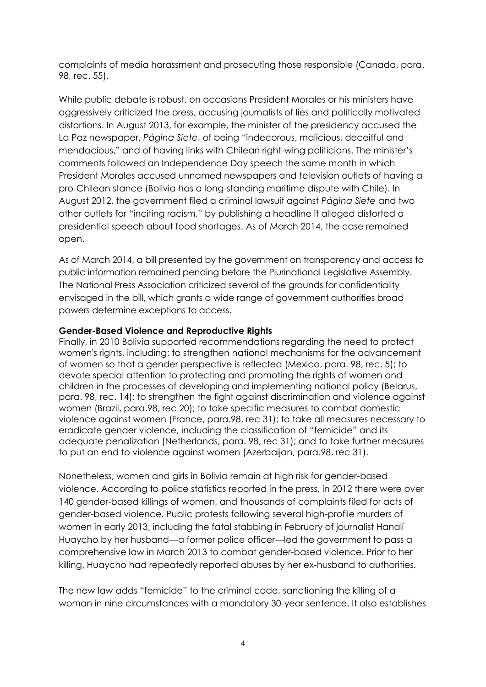complaints of media harassment and prosecuting those responsible (Canada, para. 98, rec. 55).

While public debate is robust, on occasions President Morales or his ministers have aggressively criticized the press, accusing journalists of lies and politically motivated distortions. In August 2013, for example, the minister of the presidency accused the La Paz newspaper, *Página Siete*, of being "indecorous, malicious, deceitful and mendacious," and of having links with Chilean right-wing politicians. The minister's comments followed an Independence Day speech the same month in which President Morales accused unnamed newspapers and television outlets of having a pro-Chilean stance (Bolivia has a long-standing maritime dispute with Chile). In August 2012, the government filed a criminal lawsuit against *Página Siete* and two other outlets for "inciting racism," by publishing a headline it alleged distorted a presidential speech about food shortages. As of March 2014, the case remained open.

As of March 2014, a bill presented by the government on transparency and access to public information remained pending before the Plurinational Legislative Assembly. The National Press Association criticized several of the grounds for confidentiality envisaged in the bill, which grants a wide range of government authorities broad powers determine exceptions to access.

#### **Gender-Based Violence and Reproductive Rights**

Finally, in 2010 Bolivia supported recommendations regarding the need to protect women's rights, including: to strengthen national mechanisms for the advancement of women so that a gender perspective is reflected (Mexico, para. 98, rec. 5); to devote special attention to protecting and promoting the rights of women and children in the processes of developing and implementing national policy (Belarus, para. 98, rec. 14); to strengthen the fight against discrimination and violence against women (Brazil, para.98, rec 20); to take specific measures to combat domestic violence against women (France, para.98, rec 31); to take all measures necessary to eradicate gender violence, including the classification of "femicide" and its adequate penalization (Netherlands, para. 98, rec 31); and to take further measures to put an end to violence against women (Azerbaijan, para.98, rec 31).

Nonetheless, women and girls in Bolivia remain at high risk for gender-based violence. According to police statistics reported in the press, in 2012 there were over 140 gender-based killings of women, and thousands of complaints filed for acts of gender-based violence. Public protests following several high-profile murders of women in early 2013, including the fatal stabbing in February of journalist Hanalí Huaycho by her husband—a former police officer—led the government to pass a comprehensive law in March 2013 to combat gender-based violence. Prior to her killing, Huaycho had repeatedly reported abuses by her ex-husband to authorities.

The new law adds "femicide" to the criminal code, sanctioning the killing of a woman in nine circumstances with a mandatory 30-year sentence. It also establishes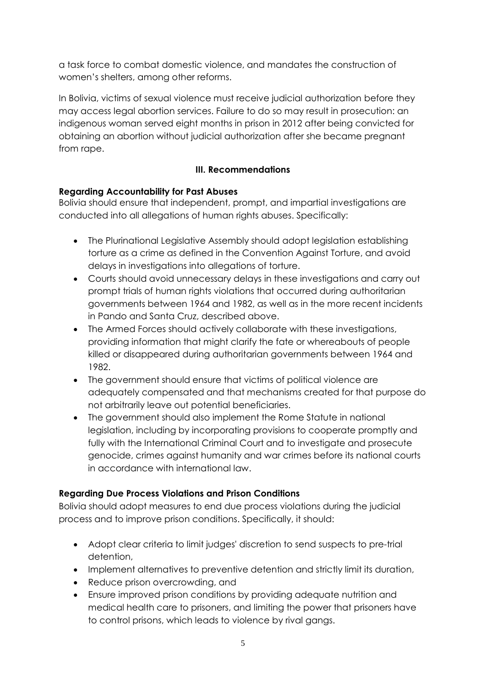a task force to combat domestic violence, and mandates the construction of women's shelters, among other reforms.

In Bolivia, victims of sexual violence must receive judicial authorization before they may access legal abortion services. Failure to do so may result in prosecution: an indigenous woman served eight months in prison in 2012 after being convicted for obtaining an abortion without judicial authorization after she became pregnant from rape.

# **III. Recommendations**

## **Regarding Accountability for Past Abuses**

Bolivia should ensure that independent, prompt, and impartial investigations are conducted into all allegations of human rights abuses. Specifically:

- The Plurinational Legislative Assembly should adopt legislation establishing torture as a crime as defined in the Convention Against Torture, and avoid delays in investigations into allegations of torture.
- Courts should avoid unnecessary delays in these investigations and carry out prompt trials of human rights violations that occurred during authoritarian governments between 1964 and 1982, as well as in the more recent incidents in Pando and Santa Cruz, described above.
- The Armed Forces should actively collaborate with these investigations, providing information that might clarify the fate or whereabouts of people killed or disappeared during authoritarian governments between 1964 and 1982.
- The government should ensure that victims of political violence are adequately compensated and that mechanisms created for that purpose do not arbitrarily leave out potential beneficiaries.
- The government should also implement the Rome Statute in national legislation, including by incorporating provisions to cooperate promptly and fully with the International Criminal Court and to investigate and prosecute genocide, crimes against humanity and war crimes before its national courts in accordance with international law.

## **Regarding Due Process Violations and Prison Conditions**

Bolivia should adopt measures to end due process violations during the judicial process and to improve prison conditions. Specifically, it should:

- Adopt clear criteria to limit judges' discretion to send suspects to pre-trial detention,
- Implement alternatives to preventive detention and strictly limit its duration,
- Reduce prison overcrowding, and
- Ensure improved prison conditions by providing adequate nutrition and medical health care to prisoners, and limiting the power that prisoners have to control prisons, which leads to violence by rival gangs.